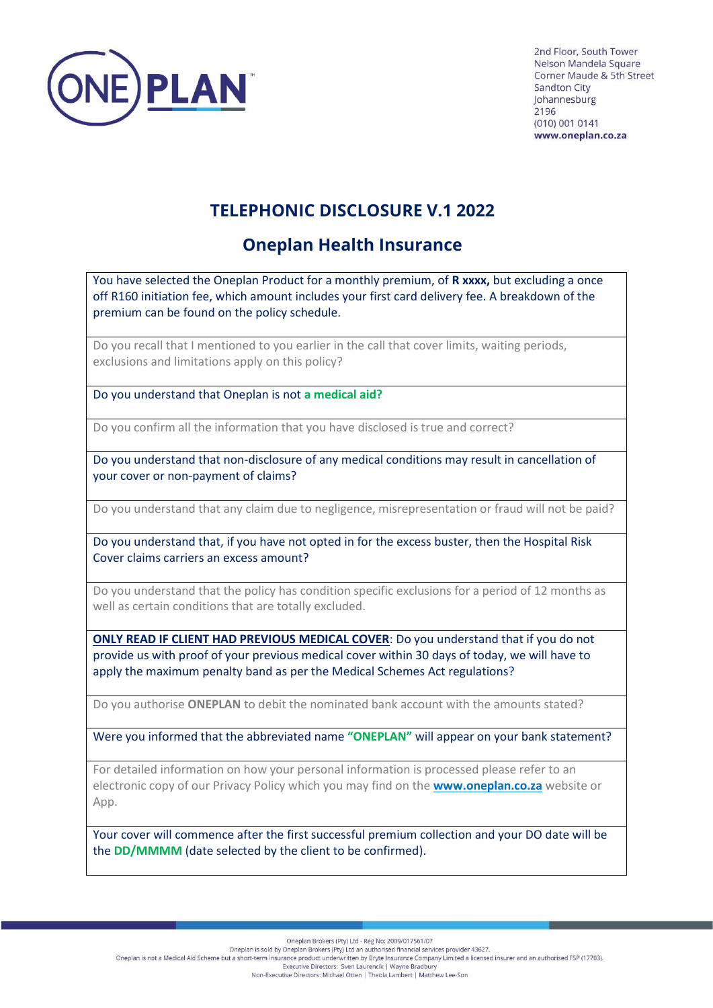

2nd Floor, South Tower Nelson Mandela Square Corner Maude & 5th Street **Sandton City** Iohannesburg 2196 (010) 001 0141 www.oneplan.co.za

## **TELEPHONIC DISCLOSURE V.1 2022**

## **Oneplan Health Insurance**

You have selected the Oneplan Product for a monthly premium, of **R xxxx,** but excluding a once off R160 initiation fee, which amount includes your first card delivery fee. A breakdown of the premium can be found on the policy schedule.

Do you recall that I mentioned to you earlier in the call that cover limits, waiting periods, exclusions and limitations apply on this policy?

Do you understand that Oneplan is not **a medical aid?**

Do you confirm all the information that you have disclosed is true and correct?

Do you understand that non-disclosure of any medical conditions may result in cancellation of your cover or non-payment of claims?

Do you understand that any claim due to negligence, misrepresentation or fraud will not be paid?

Do you understand that, if you have not opted in for the excess buster, then the Hospital Risk Cover claims carriers an excess amount?

Do you understand that the policy has condition specific exclusions for a period of 12 months as well as certain conditions that are totally excluded.

**ONLY READ IF CLIENT HAD PREVIOUS MEDICAL COVER**: Do you understand that if you do not provide us with proof of your previous medical cover within 30 days of today, we will have to apply the maximum penalty band as per the Medical Schemes Act regulations?

Do you authorise **ONEPLAN** to debit the nominated bank account with the amounts stated?

Were you informed that the abbreviated name **"ONEPLAN"** will appear on your bank statement?

For detailed information on how your personal information is processed please refer to an electronic copy of our Privacy Policy which you may find on the **[www.oneplan.co.za](http://www.oneplan.co.za/)** website or App.

Your cover will commence after the first successful premium collection and your DO date will be the **DD/MMMM** (date selected by the client to be confirmed).

Oneplan Brokers (Pty) Ltd - Reg No: 2009/017561/07

Oneplan is sold by Oneplan Brockers (Pty) Ltd an authorised financial services provider 43627.<br>Oneplan Brockers (Pty) Ltd an authorised financial services provider 43627.<br>Oneplan is not a Medical Aid Scheme but a short-te

Executive Directors: Sven Laurencik | Wayne Bradbury Non-Executive Directors: Michael Otten | Theola Lambert | Matthew Lee-Son